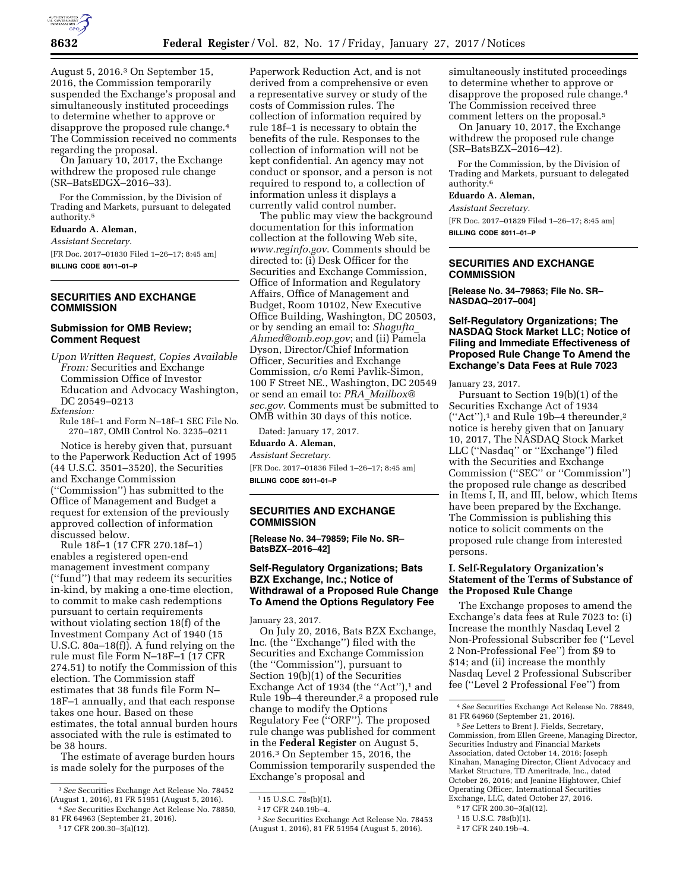

August 5, 2016.3 On September 15, 2016, the Commission temporarily suspended the Exchange's proposal and simultaneously instituted proceedings to determine whether to approve or disapprove the proposed rule change.4 The Commission received no comments regarding the proposal.

On January 10, 2017, the Exchange withdrew the proposed rule change (SR–BatsEDGX–2016–33).

For the Commission, by the Division of Trading and Markets, pursuant to delegated authority.5

**Eduardo A. Aleman,** 

*Assistant Secretary.* 

[FR Doc. 2017–01830 Filed 1–26–17; 8:45 am] **BILLING CODE 8011–01–P** 

# **SECURITIES AND EXCHANGE COMMISSION**

#### **Submission for OMB Review; Comment Request**

*Upon Written Request, Copies Available From:* Securities and Exchange Commission Office of Investor Education and Advocacy Washington, DC 20549–0213

*Extension:* 

Rule 18f–1 and Form N–18f–1 SEC File No. 270–187, OMB Control No. 3235–0211

Notice is hereby given that, pursuant to the Paperwork Reduction Act of 1995 (44 U.S.C. 3501–3520), the Securities and Exchange Commission (''Commission'') has submitted to the Office of Management and Budget a request for extension of the previously approved collection of information discussed below.

Rule 18f–1 (17 CFR 270.18f–1) enables a registered open-end management investment company (''fund'') that may redeem its securities in-kind, by making a one-time election, to commit to make cash redemptions pursuant to certain requirements without violating section 18(f) of the Investment Company Act of 1940 (15 U.S.C. 80a–18(f)). A fund relying on the rule must file Form N–18F–1 (17 CFR 274.51) to notify the Commission of this election. The Commission staff estimates that 38 funds file Form N– 18F–1 annually, and that each response takes one hour. Based on these estimates, the total annual burden hours associated with the rule is estimated to be 38 hours.

The estimate of average burden hours is made solely for the purposes of the

5 17 CFR 200.30–3(a)(12).

Paperwork Reduction Act, and is not derived from a comprehensive or even a representative survey or study of the costs of Commission rules. The collection of information required by rule 18f–1 is necessary to obtain the benefits of the rule. Responses to the collection of information will not be kept confidential. An agency may not conduct or sponsor, and a person is not required to respond to, a collection of information unless it displays a currently valid control number.

The public may view the background documentation for this information collection at the following Web site, *[www.reginfo.gov](http://www.reginfo.gov)*. Comments should be directed to: (i) Desk Officer for the Securities and Exchange Commission, Office of Information and Regulatory Affairs, Office of Management and Budget, Room 10102, New Executive Office Building, Washington, DC 20503, or by sending an email to: *[Shagufta](mailto:Shagufta_Ahmed@omb.eop.gov)*\_ *[Ahmed@omb.eop.gov](mailto:Shagufta_Ahmed@omb.eop.gov)*; and (ii) Pamela Dyson, Director/Chief Information Officer, Securities and Exchange Commission, c/o Remi Pavlik-Simon, 100 F Street NE., Washington, DC 20549 or send an email to: *PRA*\_*[Mailbox@](mailto:PRA_Mailbox@sec.gov) [sec.gov](mailto:PRA_Mailbox@sec.gov)*. Comments must be submitted to OMB within 30 days of this notice.

Dated: January 17, 2017. **Eduardo A. Aleman,**  *Assistant Secretary.* 

[FR Doc. 2017–01836 Filed 1–26–17; 8:45 am] **BILLING CODE 8011–01–P** 

## **SECURITIES AND EXCHANGE COMMISSION**

**[Release No. 34–79859; File No. SR– BatsBZX–2016–42]** 

## **Self-Regulatory Organizations; Bats BZX Exchange, Inc.; Notice of Withdrawal of a Proposed Rule Change To Amend the Options Regulatory Fee**

January 23, 2017.

On July 20, 2016, Bats BZX Exchange, Inc. (the ''Exchange'') filed with the Securities and Exchange Commission (the ''Commission''), pursuant to Section 19(b)(1) of the Securities Exchange Act of 1934 (the "Act"),<sup>1</sup> and Rule 19b-4 thereunder,<sup>2</sup> a proposed rule change to modify the Options Regulatory Fee (''ORF''). The proposed rule change was published for comment in the **Federal Register** on August 5, 2016.3 On September 15, 2016, the Commission temporarily suspended the Exchange's proposal and

simultaneously instituted proceedings to determine whether to approve or disapprove the proposed rule change.4 The Commission received three comment letters on the proposal.5

On January 10, 2017, the Exchange withdrew the proposed rule change (SR–BatsBZX–2016–42).

For the Commission, by the Division of Trading and Markets, pursuant to delegated authority.6

### **Eduardo A. Aleman,**

*Assistant Secretary.* 

[FR Doc. 2017–01829 Filed 1–26–17; 8:45 am] **BILLING CODE 8011–01–P** 

#### **SECURITIES AND EXCHANGE COMMISSION**

**[Release No. 34–79863; File No. SR– NASDAQ–2017–004]** 

## **Self-Regulatory Organizations; The NASDAQ Stock Market LLC; Notice of Filing and Immediate Effectiveness of Proposed Rule Change To Amend the Exchange's Data Fees at Rule 7023**

January 23, 2017.

Pursuant to Section 19(b)(1) of the Securities Exchange Act of 1934  $("Act")$ ,<sup>1</sup> and Rule 19b-4 thereunder,<sup>2</sup> notice is hereby given that on January 10, 2017, The NASDAQ Stock Market LLC (''Nasdaq'' or ''Exchange'') filed with the Securities and Exchange Commission (''SEC'' or ''Commission'') the proposed rule change as described in Items I, II, and III, below, which Items have been prepared by the Exchange. The Commission is publishing this notice to solicit comments on the proposed rule change from interested persons.

## **I. Self-Regulatory Organization's Statement of the Terms of Substance of the Proposed Rule Change**

The Exchange proposes to amend the Exchange's data fees at Rule 7023 to: (i) Increase the monthly Nasdaq Level 2 Non-Professional Subscriber fee (''Level 2 Non-Professional Fee'') from \$9 to \$14; and (ii) increase the monthly Nasdaq Level 2 Professional Subscriber fee (''Level 2 Professional Fee'') from

5*See* Letters to Brent J. Fields, Secretary, Commission, from Ellen Greene, Managing Director, Securities Industry and Financial Markets Association, dated October 14, 2016; Joseph Kinahan, Managing Director, Client Advocacy and Market Structure, TD Ameritrade, Inc., dated October 26, 2016; and Jeanine Hightower, Chief Operating Officer, International Securities Exchange, LLC, dated October 27, 2016.

6 17 CFR 200.30–3(a)(12).

<sup>3</sup>*See* Securities Exchange Act Release No. 78452 (August 1, 2016), 81 FR 51951 (August 5, 2016).

<sup>4</sup>*See* Securities Exchange Act Release No. 78850, 81 FR 64963 (September 21, 2016).

<sup>1</sup> 15 U.S.C. 78s(b)(1).

<sup>2</sup> 17 CFR 240.19b–4.

<sup>3</sup>*See* Securities Exchange Act Release No. 78453 (August 1, 2016), 81 FR 51954 (August 5, 2016).

<sup>4</sup>*See* Securities Exchange Act Release No. 78849, 81 FR 64960 (September 21, 2016).

<sup>1</sup> 15 U.S.C. 78s(b)(1). 2 17 CFR 240.19b–4.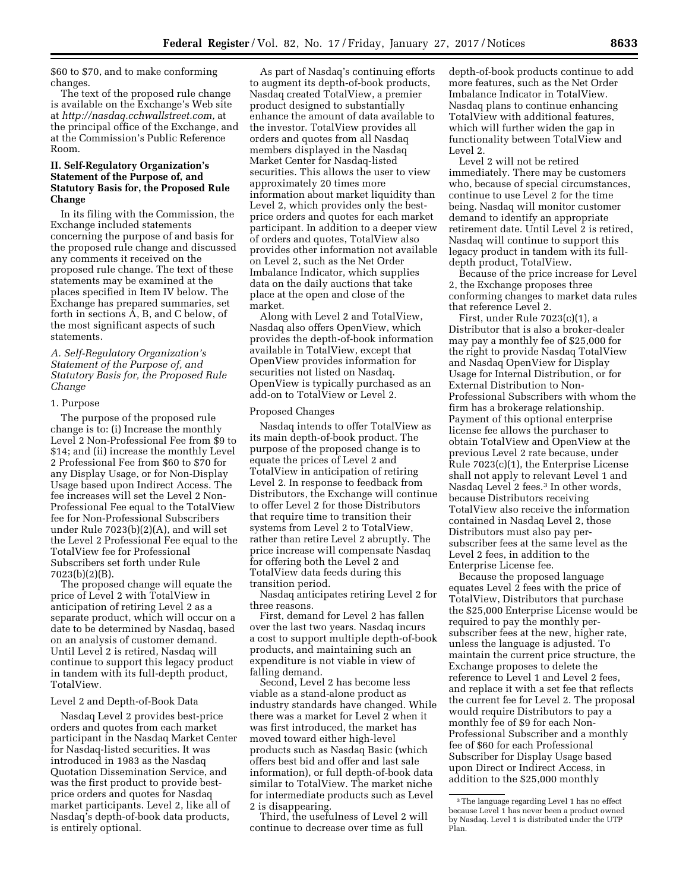\$60 to \$70, and to make conforming changes.

The text of the proposed rule change is available on the Exchange's Web site at *[http://nasdaq.cchwallstreet.com,](http://nasdaq.cchwallstreet.com)* at the principal office of the Exchange, and at the Commission's Public Reference Room.

### **II. Self-Regulatory Organization's Statement of the Purpose of, and Statutory Basis for, the Proposed Rule Change**

In its filing with the Commission, the Exchange included statements concerning the purpose of and basis for the proposed rule change and discussed any comments it received on the proposed rule change. The text of these statements may be examined at the places specified in Item IV below. The Exchange has prepared summaries, set forth in sections A, B, and C below, of the most significant aspects of such statements.

### *A. Self-Regulatory Organization's Statement of the Purpose of, and Statutory Basis for, the Proposed Rule Change*

#### 1. Purpose

The purpose of the proposed rule change is to: (i) Increase the monthly Level 2 Non-Professional Fee from \$9 to \$14; and (ii) increase the monthly Level 2 Professional Fee from \$60 to \$70 for any Display Usage, or for Non-Display Usage based upon Indirect Access. The fee increases will set the Level 2 Non-Professional Fee equal to the TotalView fee for Non-Professional Subscribers under Rule 7023(b)(2)(A), and will set the Level 2 Professional Fee equal to the TotalView fee for Professional Subscribers set forth under Rule 7023(b)(2)(B).

The proposed change will equate the price of Level 2 with TotalView in anticipation of retiring Level 2 as a separate product, which will occur on a date to be determined by Nasdaq, based on an analysis of customer demand. Until Level 2 is retired, Nasdaq will continue to support this legacy product in tandem with its full-depth product, TotalView.

#### Level 2 and Depth-of-Book Data

Nasdaq Level 2 provides best-price orders and quotes from each market participant in the Nasdaq Market Center for Nasdaq-listed securities. It was introduced in 1983 as the Nasdaq Quotation Dissemination Service, and was the first product to provide bestprice orders and quotes for Nasdaq market participants. Level 2, like all of Nasdaq's depth-of-book data products, is entirely optional.

As part of Nasdaq's continuing efforts to augment its depth-of-book products, Nasdaq created TotalView, a premier product designed to substantially enhance the amount of data available to the investor. TotalView provides all orders and quotes from all Nasdaq members displayed in the Nasdaq Market Center for Nasdaq-listed securities. This allows the user to view approximately 20 times more information about market liquidity than Level 2, which provides only the bestprice orders and quotes for each market participant. In addition to a deeper view of orders and quotes, TotalView also provides other information not available on Level 2, such as the Net Order Imbalance Indicator, which supplies data on the daily auctions that take place at the open and close of the market.

Along with Level 2 and TotalView, Nasdaq also offers OpenView, which provides the depth-of-book information available in TotalView, except that OpenView provides information for securities not listed on Nasdaq. OpenView is typically purchased as an add-on to TotalView or Level 2.

#### Proposed Changes

Nasdaq intends to offer TotalView as its main depth-of-book product. The purpose of the proposed change is to equate the prices of Level 2 and TotalView in anticipation of retiring Level 2. In response to feedback from Distributors, the Exchange will continue to offer Level 2 for those Distributors that require time to transition their systems from Level 2 to TotalView, rather than retire Level 2 abruptly. The price increase will compensate Nasdaq for offering both the Level 2 and TotalView data feeds during this transition period.

Nasdaq anticipates retiring Level 2 for three reasons.

First, demand for Level 2 has fallen over the last two years. Nasdaq incurs a cost to support multiple depth-of-book products, and maintaining such an expenditure is not viable in view of falling demand.

Second, Level 2 has become less viable as a stand-alone product as industry standards have changed. While there was a market for Level 2 when it was first introduced, the market has moved toward either high-level products such as Nasdaq Basic (which offers best bid and offer and last sale information), or full depth-of-book data similar to TotalView. The market niche for intermediate products such as Level 2 is disappearing.

Third, the usefulness of Level 2 will continue to decrease over time as full

depth-of-book products continue to add more features, such as the Net Order Imbalance Indicator in TotalView. Nasdaq plans to continue enhancing TotalView with additional features, which will further widen the gap in functionality between TotalView and Level 2.

Level 2 will not be retired immediately. There may be customers who, because of special circumstances, continue to use Level 2 for the time being. Nasdaq will monitor customer demand to identify an appropriate retirement date. Until Level 2 is retired, Nasdaq will continue to support this legacy product in tandem with its fulldepth product, TotalView.

Because of the price increase for Level 2, the Exchange proposes three conforming changes to market data rules that reference Level 2.

First, under Rule 7023(c)(1), a Distributor that is also a broker-dealer may pay a monthly fee of \$25,000 for the right to provide Nasdaq TotalView and Nasdaq OpenView for Display Usage for Internal Distribution, or for External Distribution to Non-Professional Subscribers with whom the firm has a brokerage relationship. Payment of this optional enterprise license fee allows the purchaser to obtain TotalView and OpenView at the previous Level 2 rate because, under Rule 7023(c)(1), the Enterprise License shall not apply to relevant Level 1 and Nasdaq Level 2 fees.3 In other words, because Distributors receiving TotalView also receive the information contained in Nasdaq Level 2, those Distributors must also pay persubscriber fees at the same level as the Level 2 fees, in addition to the Enterprise License fee.

Because the proposed language equates Level 2 fees with the price of TotalView, Distributors that purchase the \$25,000 Enterprise License would be required to pay the monthly persubscriber fees at the new, higher rate, unless the language is adjusted. To maintain the current price structure, the Exchange proposes to delete the reference to Level 1 and Level 2 fees, and replace it with a set fee that reflects the current fee for Level 2. The proposal would require Distributors to pay a monthly fee of \$9 for each Non-Professional Subscriber and a monthly fee of \$60 for each Professional Subscriber for Display Usage based upon Direct or Indirect Access, in addition to the \$25,000 monthly

<sup>3</sup>The language regarding Level 1 has no effect because Level 1 has never been a product owned by Nasdaq. Level 1 is distributed under the UTP Plan.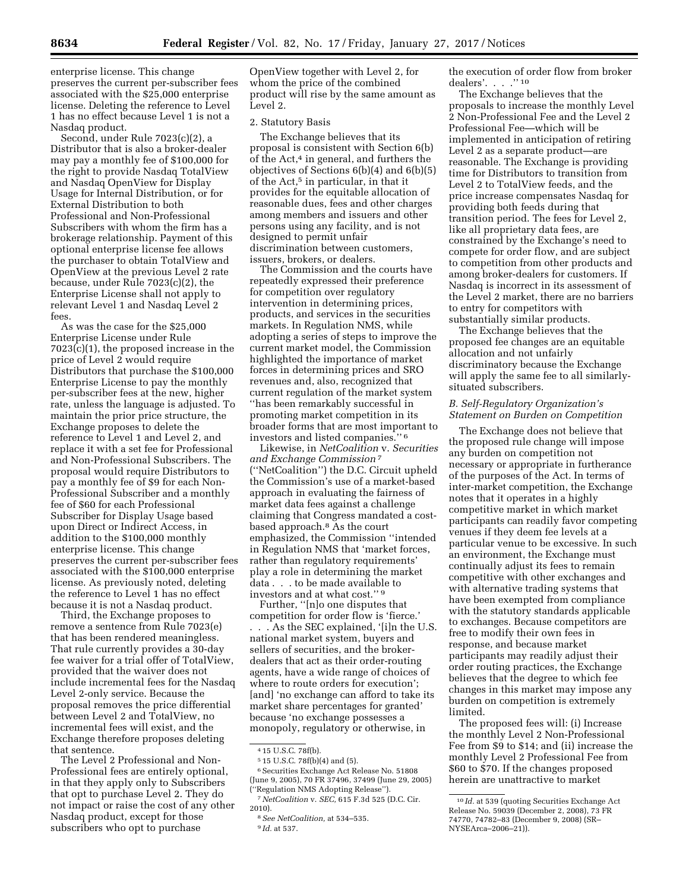enterprise license. This change preserves the current per-subscriber fees associated with the \$25,000 enterprise license. Deleting the reference to Level 1 has no effect because Level 1 is not a Nasdaq product.

Second, under Rule 7023(c)(2), a Distributor that is also a broker-dealer may pay a monthly fee of \$100,000 for the right to provide Nasdaq TotalView and Nasdaq OpenView for Display Usage for Internal Distribution, or for External Distribution to both Professional and Non-Professional Subscribers with whom the firm has a brokerage relationship. Payment of this optional enterprise license fee allows the purchaser to obtain TotalView and OpenView at the previous Level 2 rate because, under Rule 7023(c)(2), the Enterprise License shall not apply to relevant Level 1 and Nasdaq Level 2 fees.

As was the case for the \$25,000 Enterprise License under Rule 7023(c)(1), the proposed increase in the price of Level 2 would require Distributors that purchase the \$100,000 Enterprise License to pay the monthly per-subscriber fees at the new, higher rate, unless the language is adjusted. To maintain the prior price structure, the Exchange proposes to delete the reference to Level 1 and Level 2, and replace it with a set fee for Professional and Non-Professional Subscribers. The proposal would require Distributors to pay a monthly fee of \$9 for each Non-Professional Subscriber and a monthly fee of \$60 for each Professional Subscriber for Display Usage based upon Direct or Indirect Access, in addition to the \$100,000 monthly enterprise license. This change preserves the current per-subscriber fees associated with the \$100,000 enterprise license. As previously noted, deleting the reference to Level 1 has no effect because it is not a Nasdaq product.

Third, the Exchange proposes to remove a sentence from Rule 7023(e) that has been rendered meaningless. That rule currently provides a 30-day fee waiver for a trial offer of TotalView, provided that the waiver does not include incremental fees for the Nasdaq Level 2-only service. Because the proposal removes the price differential between Level 2 and TotalView, no incremental fees will exist, and the Exchange therefore proposes deleting that sentence.

The Level 2 Professional and Non-Professional fees are entirely optional, in that they apply only to Subscribers that opt to purchase Level 2. They do not impact or raise the cost of any other Nasdaq product, except for those subscribers who opt to purchase

OpenView together with Level 2, for whom the price of the combined product will rise by the same amount as Level 2.

#### 2. Statutory Basis

The Exchange believes that its proposal is consistent with Section 6(b) of the Act,<sup>4</sup> in general, and furthers the objectives of Sections 6(b)(4) and 6(b)(5) of the Act,<sup>5</sup> in particular, in that it provides for the equitable allocation of reasonable dues, fees and other charges among members and issuers and other persons using any facility, and is not designed to permit unfair discrimination between customers, issuers, brokers, or dealers.

The Commission and the courts have repeatedly expressed their preference for competition over regulatory intervention in determining prices, products, and services in the securities markets. In Regulation NMS, while adopting a series of steps to improve the current market model, the Commission highlighted the importance of market forces in determining prices and SRO revenues and, also, recognized that current regulation of the market system ''has been remarkably successful in promoting market competition in its broader forms that are most important to investors and listed companies.'' 6

Likewise, in *NetCoalition* v. *Securities and Exchange Commission* 7 (''NetCoalition'') the D.C. Circuit upheld the Commission's use of a market-based approach in evaluating the fairness of market data fees against a challenge claiming that Congress mandated a costbased approach.8 As the court emphasized, the Commission ''intended in Regulation NMS that 'market forces, rather than regulatory requirements' play a role in determining the market data . . . to be made available to investors and at what cost."<sup>9</sup>

Further, ''[n]o one disputes that competition for order flow is 'fierce.' . . . As the SEC explained, '[i]n the U.S. national market system, buyers and sellers of securities, and the brokerdealers that act as their order-routing agents, have a wide range of choices of where to route orders for execution'; [and] 'no exchange can afford to take its market share percentages for granted' because 'no exchange possesses a monopoly, regulatory or otherwise, in

5 15 U.S.C. 78f(b)(4) and (5).

6Securities Exchange Act Release No. 51808 (June 9, 2005), 70 FR 37496, 37499 (June 29, 2005) 'Regulation NMS Adopting Release").

the execution of order flow from broker dealers'. . . . "10

The Exchange believes that the proposals to increase the monthly Level 2 Non-Professional Fee and the Level 2 Professional Fee—which will be implemented in anticipation of retiring Level 2 as a separate product—are reasonable. The Exchange is providing time for Distributors to transition from Level 2 to TotalView feeds, and the price increase compensates Nasdaq for providing both feeds during that transition period. The fees for Level 2, like all proprietary data fees, are constrained by the Exchange's need to compete for order flow, and are subject to competition from other products and among broker-dealers for customers. If Nasdaq is incorrect in its assessment of the Level 2 market, there are no barriers to entry for competitors with substantially similar products.

The Exchange believes that the proposed fee changes are an equitable allocation and not unfairly discriminatory because the Exchange will apply the same fee to all similarlysituated subscribers.

## *B. Self-Regulatory Organization's Statement on Burden on Competition*

The Exchange does not believe that the proposed rule change will impose any burden on competition not necessary or appropriate in furtherance of the purposes of the Act. In terms of inter-market competition, the Exchange notes that it operates in a highly competitive market in which market participants can readily favor competing venues if they deem fee levels at a particular venue to be excessive. In such an environment, the Exchange must continually adjust its fees to remain competitive with other exchanges and with alternative trading systems that have been exempted from compliance with the statutory standards applicable to exchanges. Because competitors are free to modify their own fees in response, and because market participants may readily adjust their order routing practices, the Exchange believes that the degree to which fee changes in this market may impose any burden on competition is extremely limited.

The proposed fees will: (i) Increase the monthly Level 2 Non-Professional Fee from \$9 to \$14; and (ii) increase the monthly Level 2 Professional Fee from \$60 to \$70. If the changes proposed herein are unattractive to market

<sup>4</sup> 15 U.S.C. 78f(b).

<sup>7</sup>*NetCoalition* v. *SEC,* 615 F.3d 525 (D.C. Cir. 2010).

<sup>8</sup>*See NetCoalition,* at 534–535. 9 *Id.* at 537.

<sup>10</sup> *Id.* at 539 (quoting Securities Exchange Act Release No. 59039 (December 2, 2008), 73 FR 74770, 74782–83 (December 9, 2008) (SR– NYSEArca–2006–21)).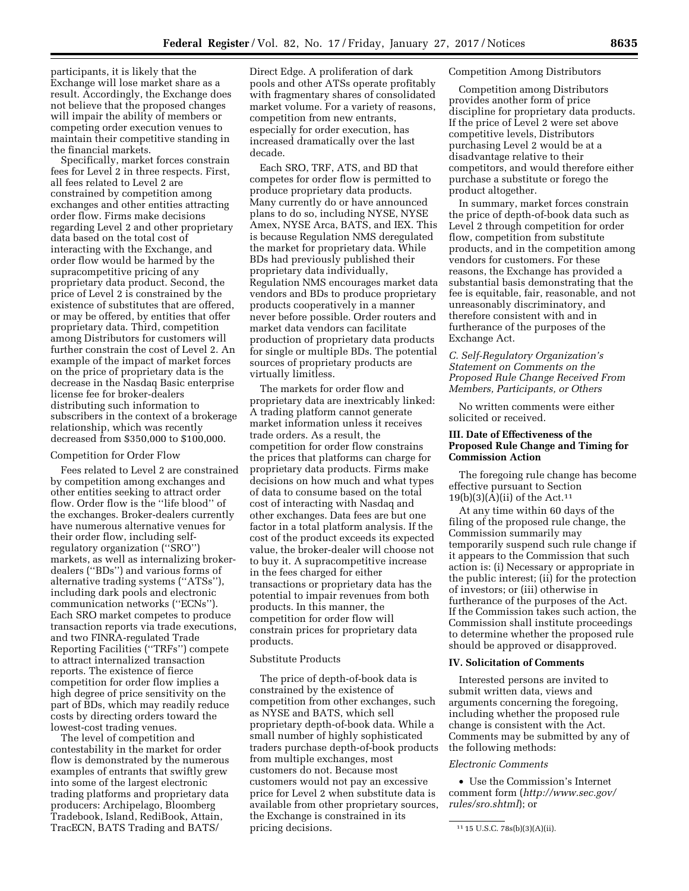participants, it is likely that the Exchange will lose market share as a result. Accordingly, the Exchange does not believe that the proposed changes will impair the ability of members or competing order execution venues to maintain their competitive standing in the financial markets.

Specifically, market forces constrain fees for Level 2 in three respects. First, all fees related to Level 2 are constrained by competition among exchanges and other entities attracting order flow. Firms make decisions regarding Level 2 and other proprietary data based on the total cost of interacting with the Exchange, and order flow would be harmed by the supracompetitive pricing of any proprietary data product. Second, the price of Level 2 is constrained by the existence of substitutes that are offered, or may be offered, by entities that offer proprietary data. Third, competition among Distributors for customers will further constrain the cost of Level 2. An example of the impact of market forces on the price of proprietary data is the decrease in the Nasdaq Basic enterprise license fee for broker-dealers distributing such information to subscribers in the context of a brokerage relationship, which was recently decreased from \$350,000 to \$100,000.

#### Competition for Order Flow

Fees related to Level 2 are constrained by competition among exchanges and other entities seeking to attract order flow. Order flow is the ''life blood'' of the exchanges. Broker-dealers currently have numerous alternative venues for their order flow, including selfregulatory organization (''SRO'') markets, as well as internalizing brokerdealers (''BDs'') and various forms of alternative trading systems (''ATSs''), including dark pools and electronic communication networks (''ECNs''). Each SRO market competes to produce transaction reports via trade executions, and two FINRA-regulated Trade Reporting Facilities (''TRFs'') compete to attract internalized transaction reports. The existence of fierce competition for order flow implies a high degree of price sensitivity on the part of BDs, which may readily reduce costs by directing orders toward the lowest-cost trading venues.

The level of competition and contestability in the market for order flow is demonstrated by the numerous examples of entrants that swiftly grew into some of the largest electronic trading platforms and proprietary data producers: Archipelago, Bloomberg Tradebook, Island, RediBook, Attain, TracECN, BATS Trading and BATS/

Direct Edge. A proliferation of dark pools and other ATSs operate profitably with fragmentary shares of consolidated market volume. For a variety of reasons, competition from new entrants, especially for order execution, has increased dramatically over the last decade.

Each SRO, TRF, ATS, and BD that competes for order flow is permitted to produce proprietary data products. Many currently do or have announced plans to do so, including NYSE, NYSE Amex, NYSE Arca, BATS, and IEX. This is because Regulation NMS deregulated the market for proprietary data. While BDs had previously published their proprietary data individually, Regulation NMS encourages market data vendors and BDs to produce proprietary products cooperatively in a manner never before possible. Order routers and market data vendors can facilitate production of proprietary data products for single or multiple BDs. The potential sources of proprietary products are virtually limitless.

The markets for order flow and proprietary data are inextricably linked: A trading platform cannot generate market information unless it receives trade orders. As a result, the competition for order flow constrains the prices that platforms can charge for proprietary data products. Firms make decisions on how much and what types of data to consume based on the total cost of interacting with Nasdaq and other exchanges. Data fees are but one factor in a total platform analysis. If the cost of the product exceeds its expected value, the broker-dealer will choose not to buy it. A supracompetitive increase in the fees charged for either transactions or proprietary data has the potential to impair revenues from both products. In this manner, the competition for order flow will constrain prices for proprietary data products.

### Substitute Products

The price of depth-of-book data is constrained by the existence of competition from other exchanges, such as NYSE and BATS, which sell proprietary depth-of-book data. While a small number of highly sophisticated traders purchase depth-of-book products from multiple exchanges, most customers do not. Because most customers would not pay an excessive price for Level 2 when substitute data is available from other proprietary sources, the Exchange is constrained in its pricing decisions.

#### Competition Among Distributors

Competition among Distributors provides another form of price discipline for proprietary data products. If the price of Level 2 were set above competitive levels, Distributors purchasing Level 2 would be at a disadvantage relative to their competitors, and would therefore either purchase a substitute or forego the product altogether.

In summary, market forces constrain the price of depth-of-book data such as Level 2 through competition for order flow, competition from substitute products, and in the competition among vendors for customers. For these reasons, the Exchange has provided a substantial basis demonstrating that the fee is equitable, fair, reasonable, and not unreasonably discriminatory, and therefore consistent with and in furtherance of the purposes of the Exchange Act.

*C. Self-Regulatory Organization's Statement on Comments on the Proposed Rule Change Received From Members, Participants, or Others* 

No written comments were either solicited or received.

### **III. Date of Effectiveness of the Proposed Rule Change and Timing for Commission Action**

The foregoing rule change has become effective pursuant to Section  $19(b)(3)(A)(ii)$  of the Act.<sup>11</sup>

At any time within 60 days of the filing of the proposed rule change, the Commission summarily may temporarily suspend such rule change if it appears to the Commission that such action is: (i) Necessary or appropriate in the public interest; (ii) for the protection of investors; or (iii) otherwise in furtherance of the purposes of the Act. If the Commission takes such action, the Commission shall institute proceedings to determine whether the proposed rule should be approved or disapproved.

### **IV. Solicitation of Comments**

Interested persons are invited to submit written data, views and arguments concerning the foregoing, including whether the proposed rule change is consistent with the Act. Comments may be submitted by any of the following methods:

#### *Electronic Comments*

• Use the Commission's Internet comment form (*[http://www.sec.gov/](http://www.sec.gov/rules/sro.shtml)  [rules/sro.shtml](http://www.sec.gov/rules/sro.shtml)*); or

<sup>11</sup> 15 U.S.C. 78s(b)(3)(A)(ii).